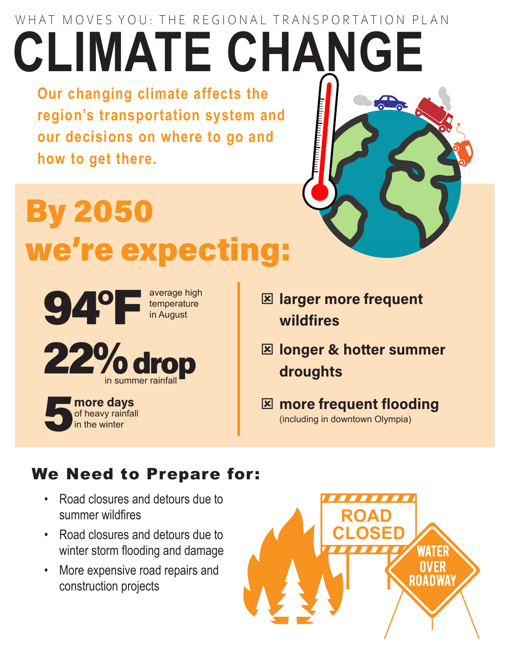## WHAT MOVES YOU: THE REGIONAL TRANSPORTATION PLAN **CLIMATE CHANGE**

**Our changing climate affects the region's transportation system and our decisions on where to go and how to get there.** 

# By 2050 we're expecting:



- **E** larger more frequent wildfires
- **E longer & hotter summer** droughts

**E** more frequent flooding (including in downtown Olympia)

### We Need to Prepare for:

- Road closures and detours due to summer wildfires
- Road closures and detours due to winter storm flooding and damage
- More expensive road repairs and construction projects